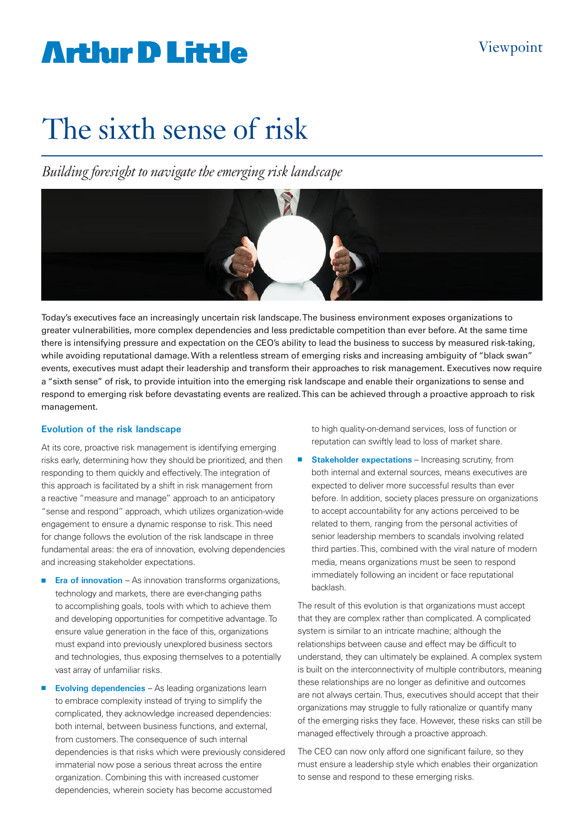# **Arthur D Little**

# The sixth sense of risk

*Building foresight to navigate the emerging risk landscape*



Today's executives face an increasingly uncertain risk landscape. The business environment exposes organizations to greater vulnerabilities, more complex dependencies and less predictable competition than ever before. At the same time there is intensifying pressure and expectation on the CEO's ability to lead the business to success by measured risk-taking, while avoiding reputational damage. With a relentless stream of emerging risks and increasing ambiguity of "black swan" events, executives must adapt their leadership and transform their approaches to risk management. Executives now require a "sixth sense" of risk, to provide intuition into the emerging risk landscape and enable their organizations to sense and respond to emerging risk before devastating events are realized. This can be achieved through a proactive approach to risk management.

#### **Evolution of the risk landscape**

At its core, proactive risk management is identifying emerging risks early, determining how they should be prioritized, and then responding to them quickly and effectively. The integration of this approach is facilitated by a shift in risk management from a reactive "measure and manage" approach to an anticipatory "sense and respond" approach, which utilizes organization-wide engagement to ensure a dynamic response to risk. This need for change follows the evolution of the risk landscape in three fundamental areas: the era of innovation, evolving dependencies and increasing stakeholder expectations.

- **Era of innovation** As innovation transforms organizations, technology and markets, there are ever-changing paths to accomplishing goals, tools with which to achieve them and developing opportunities for competitive advantage. To ensure value generation in the face of this, organizations must expand into previously unexplored business sectors and technologies, thus exposing themselves to a potentially vast array of unfamiliar risks.
- **Evolving dependencies** As leading organizations learn to embrace complexity instead of trying to simplify the complicated, they acknowledge increased dependencies: both internal, between business functions, and external, from customers. The consequence of such internal dependencies is that risks which were previously considered immaterial now pose a serious threat across the entire organization. Combining this with increased customer dependencies, wherein society has become accustomed

to high quality-on-demand services, loss of function or reputation can swiftly lead to loss of market share.

**E** Stakeholder expectations – Increasing scrutiny, from both internal and external sources, means executives are expected to deliver more successful results than ever before. In addition, society places pressure on organizations to accept accountability for any actions perceived to be related to them, ranging from the personal activities of senior leadership members to scandals involving related third parties. This, combined with the viral nature of modern media, means organizations must be seen to respond immediately following an incident or face reputational backlash.

The result of this evolution is that organizations must accept that they are complex rather than complicated. A complicated system is similar to an intricate machine; although the relationships between cause and effect may be difficult to understand, they can ultimately be explained. A complex system is built on the interconnectivity of multiple contributors, meaning these relationships are no longer as definitive and outcomes are not always certain. Thus, executives should accept that their organizations may struggle to fully rationalize or quantify many of the emerging risks they face. However, these risks can still be managed effectively through a proactive approach.

The CEO can now only afford one significant failure, so they must ensure a leadership style which enables their organization to sense and respond to these emerging risks.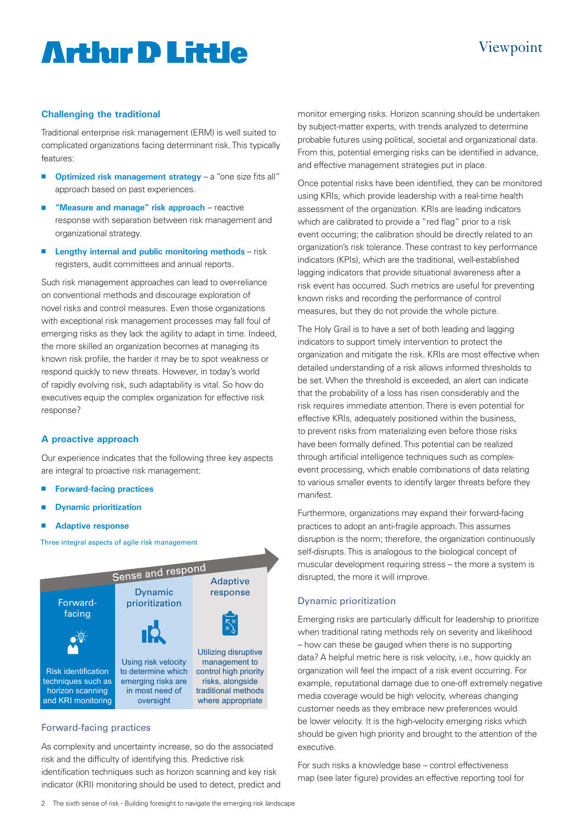# **Artlur D Little**

## Viewpoint

### **Challenging the traditional**

Traditional enterprise risk management (ERM) is well suited to complicated organizations facing determinant risk. This typically features:

- **n** Optimized risk management strategy a "one size fits all" approach based on past experiences.
- **n** "Measure and manage" risk approach reactive response with separation between risk management and organizational strategy.
- **n** Lengthy internal and public monitoring methods risk registers, audit committees and annual reports.

Such risk management approaches can lead to over-reliance on conventional methods and discourage exploration of novel risks and control measures. Even those organizations with exceptional risk management processes may fall foul of emerging risks as they lack the agility to adapt in time. Indeed, the more skilled an organization becomes at managing its known risk profile, the harder it may be to spot weakness or respond quickly to new threats. However, in today's world of rapidly evolving risk, such adaptability is vital. So how do executives equip the complex organization for effective risk response?

#### **A proactive approach**

Our experience indicates that the following three key aspects are integral to proactive risk management:

- **Forward-facing practices**
- **n** Dynamic prioritization
- **Adaptive response**

Three integral aspects of agile risk management



### Forward-facing practices

As complexity and uncertainty increase, so do the associated risk and the difficulty of identifying this. Predictive risk identification techniques such as horizon scanning and key risk indicator (KRI) monitoring should be used to detect, predict and monitor emerging risks. Horizon scanning should be undertaken by subject-matter experts, with trends analyzed to determine probable futures using political, societal and organizational data. From this, potential emerging risks can be identified in advance, and effective management strategies put in place.

Once potential risks have been identified, they can be monitored using KRIs, which provide leadership with a real-time health assessment of the organization. KRIs are leading indicators which are calibrated to provide a "red flag" prior to a risk event occurring; the calibration should be directly related to an organization's risk tolerance. These contrast to key performance indicators (KPIs), which are the traditional, well-established lagging indicators that provide situational awareness after a risk event has occurred. Such metrics are useful for preventing known risks and recording the performance of control measures, but they do not provide the whole picture.

The Holy Grail is to have a set of both leading and lagging indicators to support timely intervention to protect the organization and mitigate the risk. KRIs are most effective when detailed understanding of a risk allows informed thresholds to be set. When the threshold is exceeded, an alert can indicate that the probability of a loss has risen considerably and the risk requires immediate attention. There is even potential for effective KRIs, adequately positioned within the business, to prevent risks from materializing even before those risks have been formally defined. This potential can be realized through artificial intelligence techniques such as complexevent processing, which enable combinations of data relating to various smaller events to identify larger threats before they manifest.

Furthermore, organizations may expand their forward-facing practices to adopt an anti-fragile approach. This assumes disruption is the norm; therefore, the organization continuously self-disrupts. This is analogous to the biological concept of muscular development requiring stress – the more a system is disrupted, the more it will improve.

#### Dynamic prioritization

Emerging risks are particularly difficult for leadership to prioritize when traditional rating methods rely on severity and likelihood – how can these be gauged when there is no supporting data? A helpful metric here is risk velocity, i.e., how quickly an organization will feel the impact of a risk event occurring. For example, reputational damage due to one-off extremely negative media coverage would be high velocity, whereas changing customer needs as they embrace new preferences would be lower velocity. It is the high-velocity emerging risks which should be given high priority and brought to the attention of the executive.

For such risks a knowledge base – control effectiveness map (see later figure) provides an effective reporting tool for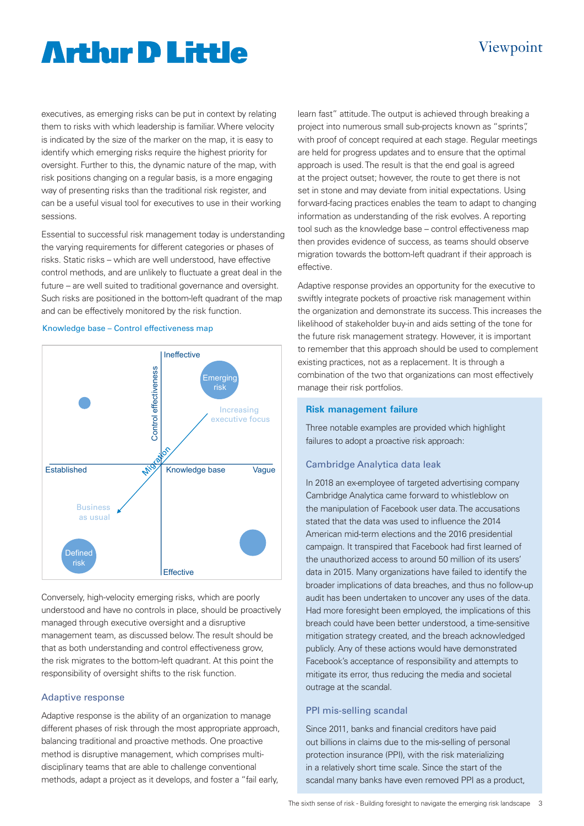# **Arthur D Little**

## Viewpoint

executives, as emerging risks can be put in context by relating them to risks with which leadership is familiar. Where velocity is indicated by the size of the marker on the map, it is easy to identify which emerging risks require the highest priority for oversight. Further to this, the dynamic nature of the map, with risk positions changing on a regular basis, is a more engaging way of presenting risks than the traditional risk register, and can be a useful visual tool for executives to use in their working sessions.

Essential to successful risk management today is understanding the varying requirements for different categories or phases of risks. Static risks – which are well understood, have effective control methods, and are unlikely to fluctuate a great deal in the future – are well suited to traditional governance and oversight. Such risks are positioned in the bottom-left quadrant of the map and can be effectively monitored by the risk function.

#### Knowledge base – Control effectiveness map



Conversely, high-velocity emerging risks, which are poorly understood and have no controls in place, should be proactively managed through executive oversight and a disruptive management team, as discussed below. The result should be that as both understanding and control effectiveness grow, the risk migrates to the bottom-left quadrant. At this point the responsibility of oversight shifts to the risk function.

#### Adaptive response

Adaptive response is the ability of an organization to manage different phases of risk through the most appropriate approach, balancing traditional and proactive methods. One proactive method is disruptive management, which comprises multidisciplinary teams that are able to challenge conventional methods, adapt a project as it develops, and foster a "fail early,

learn fast" attitude. The output is achieved through breaking a project into numerous small sub-projects known as "sprints", with proof of concept required at each stage. Regular meetings are held for progress updates and to ensure that the optimal approach is used. The result is that the end goal is agreed at the project outset; however, the route to get there is not set in stone and may deviate from initial expectations. Using forward-facing practices enables the team to adapt to changing information as understanding of the risk evolves. A reporting tool such as the knowledge base – control effectiveness map then provides evidence of success, as teams should observe migration towards the bottom-left quadrant if their approach is effective.

Adaptive response provides an opportunity for the executive to swiftly integrate pockets of proactive risk management within the organization and demonstrate its success. This increases the likelihood of stakeholder buy-in and aids setting of the tone for the future risk management strategy. However, it is important to remember that this approach should be used to complement existing practices, not as a replacement. It is through a combination of the two that organizations can most effectively manage their risk portfolios.

#### **Risk management failure**

Three notable examples are provided which highlight failures to adopt a proactive risk approach:

#### Cambridge Analytica data leak

In 2018 an ex-employee of targeted advertising company Cambridge Analytica came forward to whistleblow on the manipulation of Facebook user data. The accusations stated that the data was used to influence the 2014 American mid-term elections and the 2016 presidential campaign. It transpired that Facebook had first learned of the unauthorized access to around 50 million of its users' data in 2015. Many organizations have failed to identify the broader implications of data breaches, and thus no follow-up audit has been undertaken to uncover any uses of the data. Had more foresight been employed, the implications of this breach could have been better understood, a time-sensitive mitigation strategy created, and the breach acknowledged publicly. Any of these actions would have demonstrated Facebook's acceptance of responsibility and attempts to mitigate its error, thus reducing the media and societal outrage at the scandal.

#### PPI mis-selling scandal

Since 2011, banks and financial creditors have paid out billions in claims due to the mis-selling of personal protection insurance (PPI), with the risk materializing in a relatively short time scale. Since the start of the scandal many banks have even removed PPI as a product,